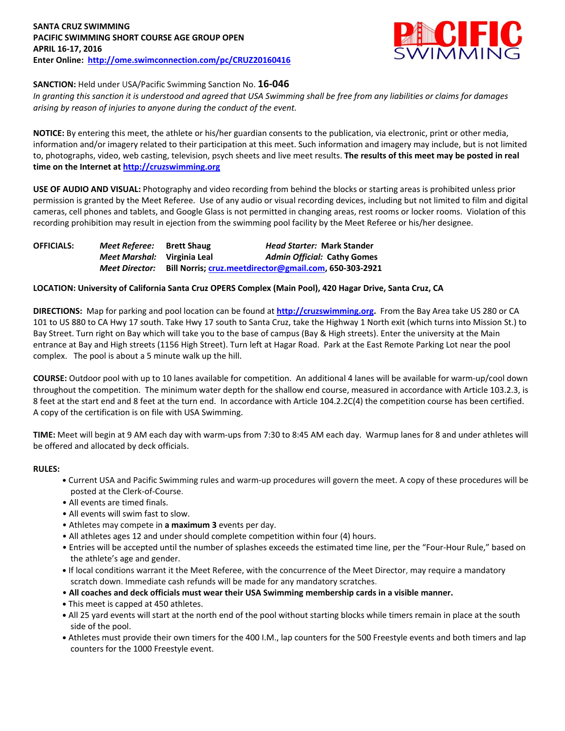

# **SANCTION:** Held under USA/Pacific Swimming Sanction No. **16-046**

*In granting this sanction it is understood and agreed that USA Swimming shall be free from any liabilities or claims for damages arising by reason of injuries to anyone during the conduct of the event.*

**NOTICE:** By entering this meet, the athlete or his/her guardian consents to the publication, via electronic, print or other media, information and/or imagery related to their participation at this meet. Such information and imagery may include, but is not limited to, photographs, video, web casting, television, psych sheets and live meet results. **The results of this meet may be posted in real time on the Internet a[t http://cruzswimming.org](http://cruzswimming.org/)**

**USE OF AUDIO AND VISUAL:** Photography and video recording from behind the blocks or starting areas is prohibited unless prior permission is granted by the Meet Referee. Use of any audio or visual recording devices, including but not limited to film and digital cameras, cell phones and tablets, and Google Glass is not permitted in changing areas, rest rooms or locker rooms. Violation of this recording prohibition may result in ejection from the swimming pool facility by the Meet Referee or his/her designee.

| <b>OFFICIALS:</b> | Meet Referee:               | <b>Brett Shaug</b> | <b>Head Starter: Mark Stander</b>                      |
|-------------------|-----------------------------|--------------------|--------------------------------------------------------|
|                   | Meet Marshal: Virginia Leal |                    | <b>Admin Official: Cathy Gomes</b>                     |
|                   | <b>Meet Director:</b>       |                    | Bill Norris; cruz.meetdirector@gmail.com, 650-303-2921 |

# **LOCATION: University of California Santa Cruz OPERS Complex (Main Pool), 420 Hagar Drive, Santa Cruz, CA**

**DIRECTIONS:** Map for parking and pool location can be found at **[http://cruzswimming.org.](http://cruzswimming.org/)** From the Bay Area take US 280 or CA 101 to US 880 to CA Hwy 17 south. Take Hwy 17 south to Santa Cruz, take the Highway 1 North exit (which turns into Mission St.) to Bay Street. Turn right on Bay which will take you to the base of campus (Bay & High streets). Enter the university at the Main entrance at Bay and High streets (1156 High Street). Turn left at Hagar Road. Park at the East Remote Parking Lot near the pool complex. The pool is about a 5 minute walk up the hill.

**COURSE:** Outdoor pool with up to 10 lanes available for competition. An additional 4 lanes will be available for warm-up/cool down throughout the competition. The minimum water depth for the shallow end course, measured in accordance with Article 103.2.3, is 8 feet at the start end and 8 feet at the turn end. In accordance with Article 104.2.2C(4) the competition course has been certified. A copy of the certification is on file with USA Swimming.

**TIME:** Meet will begin at 9 AM each day with warm-ups from 7:30 to 8:45 AM each day. Warmup lanes for 8 and under athletes will be offered and allocated by deck officials.

#### **RULES:**

- **•** Current USA and Pacific Swimming rules and warm-up procedures will govern the meet. A copy of these procedures will be posted at the Clerk-of-Course.
- All events are timed finals.
- All events will swim fast to slow.
- Athletes may compete in **a maximum 3** events per day.
- All athletes ages 12 and under should complete competition within four (4) hours.
- Entries will be accepted until the number of splashes exceeds the estimated time line, per the "Four-Hour Rule," based on the athlete's age and gender.
- **•** If local conditions warrant it the Meet Referee, with the concurrence of the Meet Director, may require a mandatory scratch down. Immediate cash refunds will be made for any mandatory scratches.
- **All coaches and deck officials must wear their USA Swimming membership cards in a visible manner.**
- **•** This meet is capped at 450 athletes.
- **•** All 25 yard events will start at the north end of the pool without starting blocks while timers remain in place at the south side of the pool.
- **•** Athletes must provide their own timers for the 400 I.M., lap counters for the 500 Freestyle events and both timers and lap counters for the 1000 Freestyle event.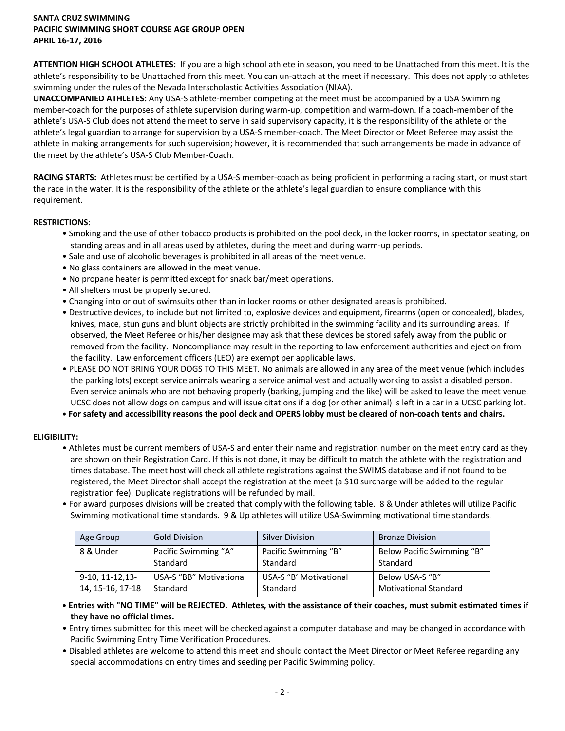**ATTENTION HIGH SCHOOL ATHLETES:** If you are a high school athlete in season, you need to be Unattached from this meet. It is the athlete's responsibility to be Unattached from this meet. You can un-attach at the meet if necessary. This does not apply to athletes swimming under the rules of the Nevada Interscholastic Activities Association (NIAA).

**UNACCOMPANIED ATHLETES:** Any USA-S athlete-member competing at the meet must be accompanied by a USA Swimming member-coach for the purposes of athlete supervision during warm-up, competition and warm-down. If a coach-member of the athlete's USA-S Club does not attend the meet to serve in said supervisory capacity, it is the responsibility of the athlete or the athlete's legal guardian to arrange for supervision by a USA-S member-coach. The Meet Director or Meet Referee may assist the athlete in making arrangements for such supervision; however, it is recommended that such arrangements be made in advance of the meet by the athlete's USA-S Club Member-Coach.

**RACING STARTS:** Athletes must be certified by a USA-S member-coach as being proficient in performing a racing start, or must start the race in the water. It is the responsibility of the athlete or the athlete's legal guardian to ensure compliance with this requirement.

# **RESTRICTIONS:**

- Smoking and the use of other tobacco products is prohibited on the pool deck, in the locker rooms, in spectator seating, on standing areas and in all areas used by athletes, during the meet and during warm-up periods.
- Sale and use of alcoholic beverages is prohibited in all areas of the meet venue.
- No glass containers are allowed in the meet venue.
- No propane heater is permitted except for snack bar/meet operations.
- All shelters must be properly secured.
- Changing into or out of swimsuits other than in locker rooms or other designated areas is prohibited.
- Destructive devices, to include but not limited to, explosive devices and equipment, firearms (open or concealed), blades, knives, mace, stun guns and blunt objects are strictly prohibited in the swimming facility and its surrounding areas. If observed, the Meet Referee or his/her designee may ask that these devices be stored safely away from the public or removed from the facility. Noncompliance may result in the reporting to law enforcement authorities and ejection from the facility. Law enforcement officers (LEO) are exempt per applicable laws.
- PLEASE DO NOT BRING YOUR DOGS TO THIS MEET. No animals are allowed in any area of the meet venue (which includes the parking lots) except service animals wearing a service animal vest and actually working to assist a disabled person. Even service animals who are not behaving properly (barking, jumping and the like) will be asked to leave the meet venue. UCSC does not allow dogs on campus and will issue citations if a dog (or other animal) is left in a car in a UCSC parking lot.
- **• For safety and accessibility reasons the pool deck and OPERS lobby must be cleared of non-coach tents and chairs.**

# **ELIGIBILITY:**

- Athletes must be current members of USA-S and enter their name and registration number on the meet entry card as they are shown on their Registration Card. If this is not done, it may be difficult to match the athlete with the registration and times database. The meet host will check all athlete registrations against the SWIMS database and if not found to be registered, the Meet Director shall accept the registration at the meet (a \$10 surcharge will be added to the regular registration fee). Duplicate registrations will be refunded by mail.
- For award purposes divisions will be created that comply with the following table. 8 & Under athletes will utilize Pacific Swimming motivational time standards. 9 & Up athletes will utilize USA-Swimming motivational time standards.

| Age Group          | <b>Gold Division</b>    | Silver Division        | <b>Bronze Division</b>       |
|--------------------|-------------------------|------------------------|------------------------------|
| 8 & Under          | Pacific Swimming "A"    | Pacific Swimming "B"   | Below Pacific Swimming "B"   |
|                    | Standard                | Standard               | Standard                     |
| $9-10, 11-12, 13-$ | USA-S "BB" Motivational | USA-S "B' Motivational | Below USA-S "B"              |
| 14, 15-16, 17-18   | Standard                | Standard               | <b>Motivational Standard</b> |

- **• Entries with "NO TIME" will be REJECTED. Athletes, with the assistance of their coaches, must submit estimated times if they have no official times.**
- Entry times submitted for this meet will be checked against a computer database and may be changed in accordance with Pacific Swimming Entry Time Verification Procedures.
- Disabled athletes are welcome to attend this meet and should contact the Meet Director or Meet Referee regarding any special accommodations on entry times and seeding per Pacific Swimming policy.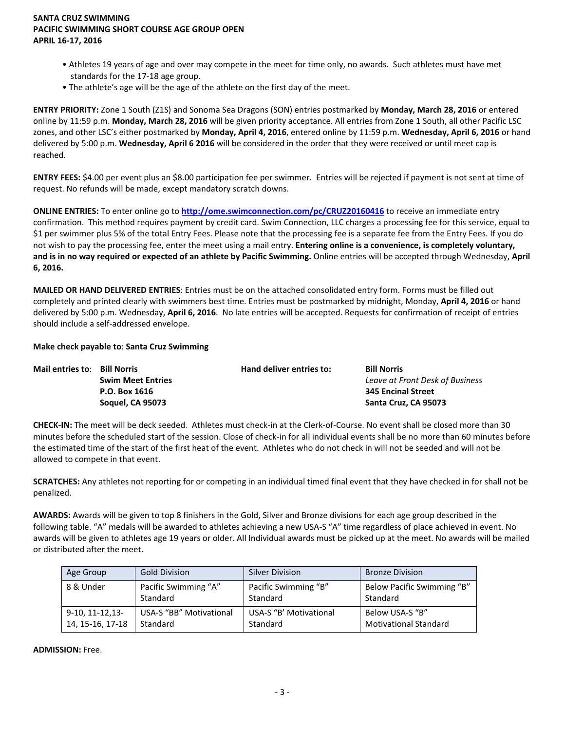- Athletes 19 years of age and over may compete in the meet for time only, no awards. Such athletes must have met standards for the 17-18 age group.
- The athlete's age will be the age of the athlete on the first day of the meet.

**ENTRY PRIORITY:** Zone 1 South (Z1S) and Sonoma Sea Dragons (SON) entries postmarked by **Monday, March 28, 2016** or entered online by 11:59 p.m. **Monday, March 28, 2016** will be given priority acceptance. All entries from Zone 1 South, all other Pacific LSC zones, and other LSC's either postmarked by **Monday, April 4, 2016**, entered online by 11:59 p.m. **Wednesday, April 6, 2016** or hand delivered by 5:00 p.m. **Wednesday, April 6 2016** will be considered in the order that they were received or until meet cap is reached.

**ENTRY FEES:** \$4.00 per event plus an \$8.00 participation fee per swimmer. Entries will be rejected if payment is not sent at time of request. No refunds will be made, except mandatory scratch downs.

**ONLINE ENTRIES:** To enter online go to **<http://ome.swimconnection.com/pc/CRUZ20160416>** to receive an immediate entry confirmation. This method requires payment by credit card. Swim Connection, LLC charges a processing fee for this service, equal to \$1 per swimmer plus 5% of the total Entry Fees. Please note that the processing fee is a separate fee from the Entry Fees. If you do not wish to pay the processing fee, enter the meet using a mail entry. **Entering online is a convenience, is completely voluntary, and is in no way required or expected of an athlete by Pacific Swimming.** Online entries will be accepted through Wednesday, **April 6, 2016.**

**MAILED OR HAND DELIVERED ENTRIES**: Entries must be on the attached consolidated entry form. Forms must be filled out completely and printed clearly with swimmers best time. Entries must be postmarked by midnight, Monday, **April 4, 2016** or hand delivered by 5:00 p.m. Wednesday, **April 6, 2016**. No late entries will be accepted. Requests for confirmation of receipt of entries should include a self-addressed envelope.

#### **Make check payable to**: **Santa Cruz Swimming**

| <b>Mail entries to: Bill Norris</b> |                          | Hand deliver entries to: | <b>Bill Norris</b>              |
|-------------------------------------|--------------------------|--------------------------|---------------------------------|
|                                     | <b>Swim Meet Entries</b> |                          | Leave at Front Desk of Business |
|                                     | P.O. Box 1616            |                          | <b>345 Encinal Street</b>       |
|                                     | <b>Soquel, CA 95073</b>  |                          | Santa Cruz, CA 95073            |

**CHECK-IN:** The meet will be deck seeded. Athletes must check-in at the Clerk-of-Course. No event shall be closed more than 30 minutes before the scheduled start of the session. Close of check-in for all individual events shall be no more than 60 minutes before the estimated time of the start of the first heat of the event. Athletes who do not check in will not be seeded and will not be allowed to compete in that event.

**SCRATCHES:** Any athletes not reporting for or competing in an individual timed final event that they have checked in for shall not be penalized.

**AWARDS:** Awards will be given to top 8 finishers in the Gold, Silver and Bronze divisions for each age group described in the following table. "A" medals will be awarded to athletes achieving a new USA-S "A" time regardless of place achieved in event. No awards will be given to athletes age 19 years or older. All Individual awards must be picked up at the meet. No awards will be mailed or distributed after the meet.

| Age Group          | <b>Gold Division</b>           | <b>Silver Division</b> | <b>Bronze Division</b>       |
|--------------------|--------------------------------|------------------------|------------------------------|
| 8 & Under          | Pacific Swimming "A"           | Pacific Swimming "B"   | Below Pacific Swimming "B"   |
|                    | Standard                       | Standard               | Standard                     |
| $9-10, 11-12, 13-$ | <b>USA-S "BB" Motivational</b> | USA-S "B' Motivational | Below USA-S "B"              |
| 14, 15-16, 17-18   | Standard                       | Standard               | <b>Motivational Standard</b> |

**ADMISSION:** Free.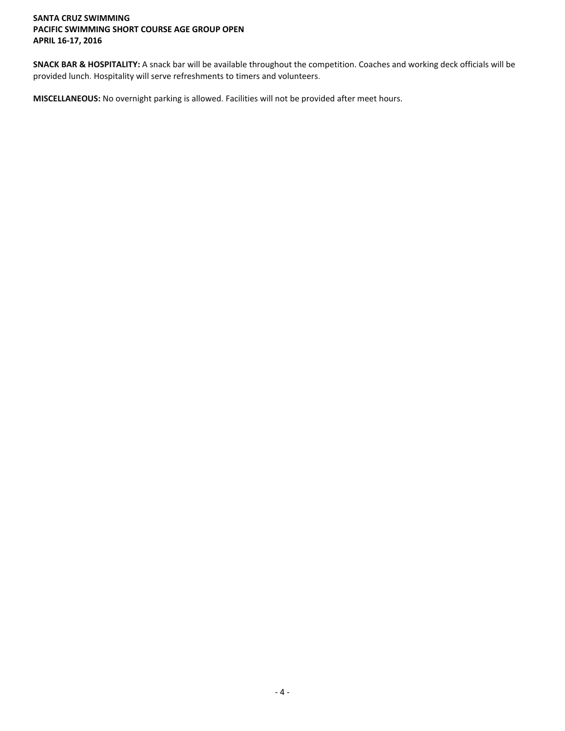**SNACK BAR & HOSPITALITY:** A snack bar will be available throughout the competition. Coaches and working deck officials will be provided lunch. Hospitality will serve refreshments to timers and volunteers.

**MISCELLANEOUS:** No overnight parking is allowed. Facilities will not be provided after meet hours.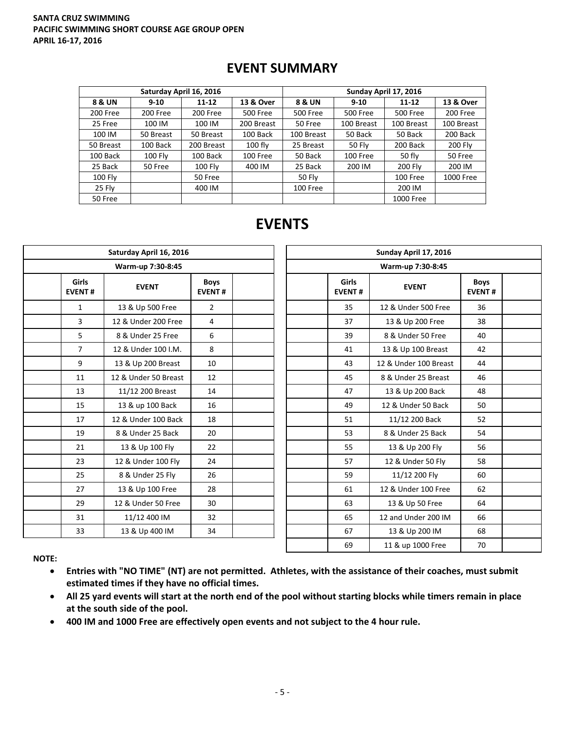# **EVENT SUMMARY**

|                   |                | Saturday April 16, 2016 |            | Sunday April 17, 2016 |                 |                 |            |  |  |
|-------------------|----------------|-------------------------|------------|-----------------------|-----------------|-----------------|------------|--|--|
| <b>8 &amp; UN</b> | $9 - 10$       | $11 - 12$               | 13 & Over  | 8 & UN                | $9 - 10$        | $11 - 12$       | 13 & Over  |  |  |
| 200 Free          | 200 Free       | 200 Free                | 500 Free   | 500 Free              | <b>500 Free</b> | <b>500 Free</b> | 200 Free   |  |  |
| 25 Free           | 100 IM         | 100 IM                  | 200 Breast | 50 Free               | 100 Breast      | 100 Breast      | 100 Breast |  |  |
| 100 IM            | 50 Breast      | 50 Breast               | 100 Back   | 100 Breast            | 50 Back         | 50 Back         | 200 Back   |  |  |
| 50 Breast         | 100 Back       | 200 Breast              | $100$ fly  | 25 Breast             | 50 Fly          | 200 Back        | 200 Fly    |  |  |
| 100 Back          | <b>100 Fly</b> | 100 Back                | 100 Free   | 50 Back               | 100 Free        | 50 fly          | 50 Free    |  |  |
| 25 Back           | 50 Free        | <b>100 Fly</b>          | 400 IM     | 25 Back               | 200 IM          | <b>200 Flv</b>  | 200 IM     |  |  |
| $100$ Fly         |                | 50 Free                 |            | <b>50 Flv</b>         |                 | 100 Free        | 1000 Free  |  |  |
| 25 Fly            |                | 400 IM                  |            | 100 Free              |                 | 200 IM          |            |  |  |
| 50 Free           |                |                         |            |                       |                 | 1000 Free       |            |  |  |

# **EVENTS**

|                               | Saturday April 16, 2016 |                              |  | Sunday April 17, 2016         |                       |                    |  |  |  |
|-------------------------------|-------------------------|------------------------------|--|-------------------------------|-----------------------|--------------------|--|--|--|
|                               | Warm-up 7:30-8:45       |                              |  |                               | Warm-up 7:30-8:45     |                    |  |  |  |
| <b>Girls</b><br><b>EVENT#</b> | <b>EVENT</b>            | <b>Boys</b><br><b>EVENT#</b> |  | <b>Girls</b><br><b>EVENT#</b> | <b>EVENT</b>          | Boy<br><b>EVEN</b> |  |  |  |
| $\mathbf{1}$                  | 13 & Up 500 Free        | $\overline{2}$               |  | 35                            | 12 & Under 500 Free   | 36                 |  |  |  |
| 3                             | 12 & Under 200 Free     | $\overline{4}$               |  | 37                            | 13 & Up 200 Free      | 38                 |  |  |  |
| 5                             | 8 & Under 25 Free       | 6                            |  | 39                            | 8 & Under 50 Free     | 40                 |  |  |  |
| $\overline{7}$                | 12 & Under 100 I.M.     | 8                            |  | 41                            | 13 & Up 100 Breast    | 42                 |  |  |  |
| 9                             | 13 & Up 200 Breast      | 10                           |  | 43                            | 12 & Under 100 Breast | 44                 |  |  |  |
| 11                            | 12 & Under 50 Breast    | 12                           |  | 45                            | 8 & Under 25 Breast   | 46                 |  |  |  |
| 13                            | 11/12 200 Breast        | 14                           |  | 47                            | 13 & Up 200 Back      | 48                 |  |  |  |
| 15                            | 13 & up 100 Back        | 16                           |  | 49                            | 12 & Under 50 Back    | 50                 |  |  |  |
| 17                            | 12 & Under 100 Back     | 18                           |  | 51                            | 11/12 200 Back        | 52                 |  |  |  |
| 19                            | 8 & Under 25 Back       | 20                           |  | 53                            | 8 & Under 25 Back     | 54                 |  |  |  |
| 21                            | 13 & Up 100 Fly         | 22                           |  | 55                            | 13 & Up 200 Fly       | 56                 |  |  |  |
| 23                            | 12 & Under 100 Fly      | 24                           |  | 57                            | 12 & Under 50 Fly     | 58                 |  |  |  |
| 25                            | 8 & Under 25 Fly        | 26                           |  | 59                            | 11/12 200 Fly         | 60                 |  |  |  |
| 27                            | 13 & Up 100 Free        | 28                           |  | 61                            | 12 & Under 100 Free   | 62                 |  |  |  |
| 29                            | 12 & Under 50 Free      | 30                           |  | 63                            | 13 & Up 50 Free       | 64                 |  |  |  |
| 31                            | 11/12 400 IM            | 32                           |  | 65                            | 12 and Under 200 IM   | 66                 |  |  |  |
| 33                            | 13 & Up 400 IM          | 34                           |  | 67                            | 13 & Up 200 IM        | 68                 |  |  |  |
|                               |                         |                              |  |                               |                       |                    |  |  |  |

| Sunday April 17, 2016 |                        |                       |                              |  |  |  |  |  |  |
|-----------------------|------------------------|-----------------------|------------------------------|--|--|--|--|--|--|
| Warm-up 7:30-8:45     |                        |                       |                              |  |  |  |  |  |  |
|                       | Girls<br><b>EVENT#</b> | <b>EVENT</b>          | <b>Boys</b><br><b>EVENT#</b> |  |  |  |  |  |  |
|                       | 35                     | 12 & Under 500 Free   | 36                           |  |  |  |  |  |  |
|                       | 37                     | 13 & Up 200 Free      | 38                           |  |  |  |  |  |  |
|                       | 39                     | 8 & Under 50 Free     | 40                           |  |  |  |  |  |  |
|                       | 41                     | 13 & Up 100 Breast    | 42                           |  |  |  |  |  |  |
|                       | 43                     | 12 & Under 100 Breast | 44                           |  |  |  |  |  |  |
|                       | 45                     | 8 & Under 25 Breast   | 46                           |  |  |  |  |  |  |
|                       | 47                     | 13 & Up 200 Back      | 48                           |  |  |  |  |  |  |
|                       | 49                     | 12 & Under 50 Back    | 50                           |  |  |  |  |  |  |
|                       | 51                     | 11/12 200 Back        | 52                           |  |  |  |  |  |  |
|                       | 53                     | 8 & Under 25 Back     | 54                           |  |  |  |  |  |  |
|                       | 55                     | 13 & Up 200 Fly       | 56                           |  |  |  |  |  |  |
|                       | 57                     | 12 & Under 50 Fly     | 58                           |  |  |  |  |  |  |
|                       | 59                     | 11/12 200 Fly         | 60                           |  |  |  |  |  |  |
|                       | 61                     | 12 & Under 100 Free   | 62                           |  |  |  |  |  |  |
|                       | 63                     | 13 & Up 50 Free       | 64                           |  |  |  |  |  |  |
|                       | 65                     | 12 and Under 200 IM   | 66                           |  |  |  |  |  |  |
|                       | 67                     | 13 & Up 200 IM        | 68                           |  |  |  |  |  |  |
|                       | 69                     | 11 & up 1000 Free     | 70                           |  |  |  |  |  |  |

**NOTE:**

- **Entries with "NO TIME" (NT) are not permitted. Athletes, with the assistance of their coaches, must submit estimated times if they have no official times.**
- **All 25 yard events will start at the north end of the pool without starting blocks while timers remain in place at the south side of the pool.**
- **400 IM and 1000 Free are effectively open events and not subject to the 4 hour rule.**